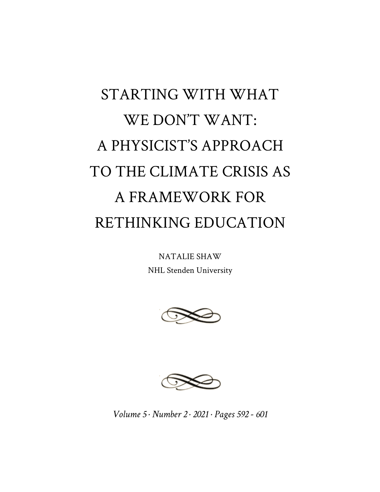# STARTING WITH WHAT WE DON'T WANT: A PHYSICIST'S APPROACH TO THE CLIMATE CRISIS AS A FRAMEWORK FOR RETHINKING EDUCATION

NATALIE SHAW NHL Stenden University





*Volume 5 · Number 2 · 2021 · Pages 592 - 601*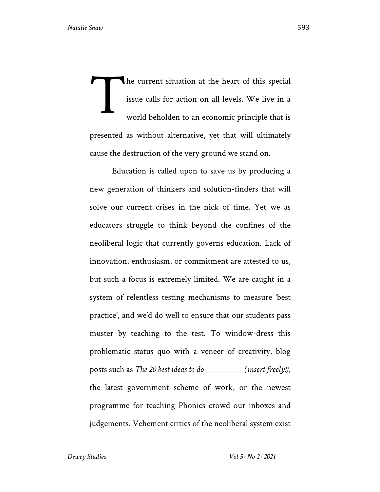he current situation at the heart of this special issue calls for action on all levels. We live in a world beholden to an economic principle that is presented as without alternative, yet that will ultimately cause the destruction of the very ground we stand on. T

Education is called upon to save us by producing a new generation of thinkers and solution-finders that will solve our current crises in the nick of time. Yet we as educators struggle to think beyond the confines of the neoliberal logic that currently governs education. Lack of innovation, enthusiasm, or commitment are attested to us, but such a focus is extremely limited. We are caught in a system of relentless testing mechanisms to measure 'best practice', and we'd do well to ensure that our students pass muster by teaching to the test. To window-dress this problematic status quo with a veneer of creativity, blog posts such as *The 20 best ideas to do \_\_\_\_\_\_\_\_\_ (insert freely!)*, the latest government scheme of work, or the newest programme for teaching Phonics crowd our inboxes and judgements. Vehement critics of the neoliberal system exist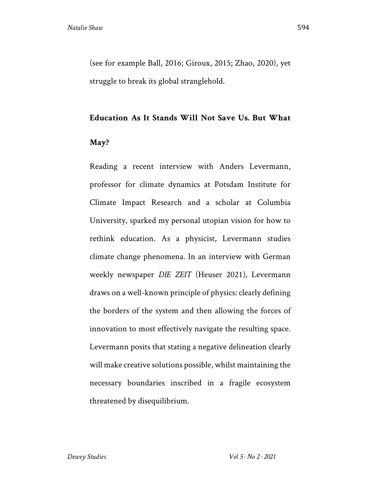(see for example Ball, 2016; Giroux, 2015; Zhao, 2020), yet struggle to break its global stranglehold.

#### **Education As It Stands Will Not Save Us. But What**

## **May?**

Reading a recent interview with Anders Levermann, professor for climate dynamics at Potsdam Institute for Climate Impact Research and a scholar at Columbia University, sparked my personal utopian vision for how to rethink education. As a physicist, Levermann studies climate change phenomena. In an interview with German weekly newspaper *DIE ZEIT* (Heuser 2021)*,* Levermann draws on a well-known principle of physics: clearly defining the borders of the system and then allowing the forces of innovation to most effectively navigate the resulting space. Levermann posits that stating a negative delineation clearly will make creative solutions possible, whilst maintaining the necessary boundaries inscribed in a fragile ecosystem threatened by disequilibrium.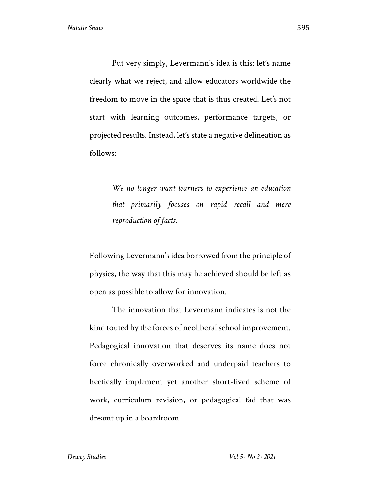Put very simply, Levermann's idea is this: let's name clearly what we reject, and allow educators worldwide the freedom to move in the space that is thus created. Let's not start with learning outcomes, performance targets, or projected results. Instead, let's state a negative delineation as follows:

> *We no longer want learners to experience an education that primarily focuses on rapid recall and mere reproduction of facts.*

Following Levermann's idea borrowed from the principle of physics, the way that this may be achieved should be left as open as possible to allow for innovation.

The innovation that Levermann indicates is not the kind touted by the forces of neoliberal school improvement. Pedagogical innovation that deserves its name does not force chronically overworked and underpaid teachers to hectically implement yet another short-lived scheme of work, curriculum revision, or pedagogical fad that was dreamt up in a boardroom.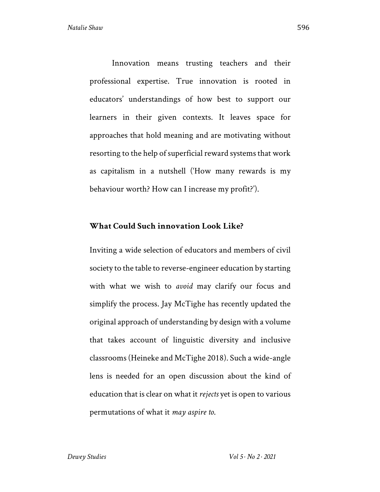Innovation means trusting teachers and their professional expertise. True innovation is rooted in educators' understandings of how best to support our learners in their given contexts. It leaves space for approaches that hold meaning and are motivating without resorting to the help of superficial reward systems that work as capitalism in a nutshell ('How many rewards is my behaviour worth? How can I increase my profit?').

#### **What Could Such innovation Look Like?**

Inviting a wide selection of educators and members of civil society to the table to reverse-engineer education by starting with what we wish to *avoid* may clarify our focus and simplify the process. Jay McTighe has recently updated the original approach of understanding by design with a volume that takes account of linguistic diversity and inclusive classrooms (Heineke and McTighe 2018). Such a wide-angle lens is needed for an open discussion about the kind of education that is clear on what it *rejects* yet is open to various permutations of what it *may aspire to*.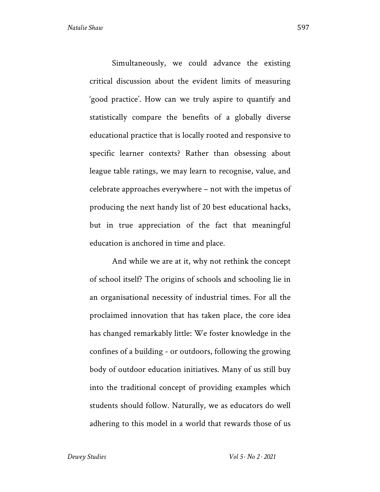Simultaneously, we could advance the existing critical discussion about the evident limits of measuring 'good practice'. How can we truly aspire to quantify and statistically compare the benefits of a globally diverse educational practice that is locally rooted and responsive to specific learner contexts? Rather than obsessing about league table ratings, we may learn to recognise, value, and celebrate approaches everywhere – not with the impetus of producing the next handy list of 20 best educational hacks, but in true appreciation of the fact that meaningful education is anchored in time and place.

And while we are at it, why not rethink the concept of school itself? The origins of schools and schooling lie in an organisational necessity of industrial times. For all the proclaimed innovation that has taken place, the core idea has changed remarkably little: We foster knowledge in the confines of a building - or outdoors, following the growing body of outdoor education initiatives. Many of us still buy into the traditional concept of providing examples which students should follow. Naturally, we as educators do well adhering to this model in a world that rewards those of us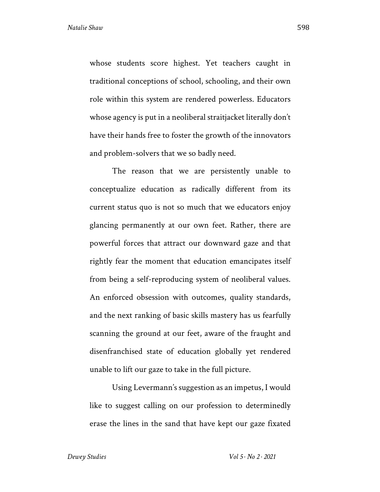whose students score highest. Yet teachers caught in traditional conceptions of school, schooling, and their own role within this system are rendered powerless. Educators whose agency is put in a neoliberal straitjacket literally don't have their hands free to foster the growth of the innovators and problem-solvers that we so badly need.

The reason that we are persistently unable to conceptualize education as radically different from its current status quo is not so much that we educators enjoy glancing permanently at our own feet. Rather, there are powerful forces that attract our downward gaze and that rightly fear the moment that education emancipates itself from being a self-reproducing system of neoliberal values. An enforced obsession with outcomes, quality standards, and the next ranking of basic skills mastery has us fearfully scanning the ground at our feet, aware of the fraught and disenfranchised state of education globally yet rendered unable to lift our gaze to take in the full picture.

Using Levermann's suggestion as an impetus, I would like to suggest calling on our profession to determinedly erase the lines in the sand that have kept our gaze fixated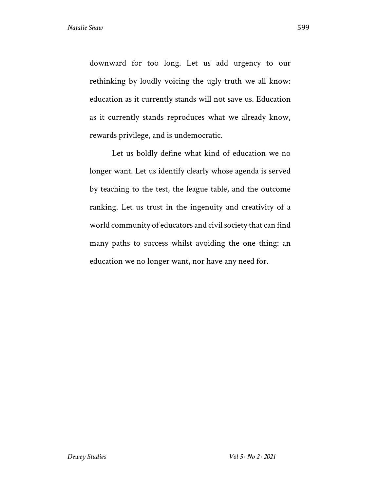downward for too long. Let us add urgency to our rethinking by loudly voicing the ugly truth we all know: education as it currently stands will not save us. Education as it currently stands reproduces what we already know, rewards privilege, and is undemocratic.

Let us boldly define what kind of education we no longer want. Let us identify clearly whose agenda is served by teaching to the test, the league table, and the outcome ranking. Let us trust in the ingenuity and creativity of a world community of educators and civil society that can find many paths to success whilst avoiding the one thing: an education we no longer want, nor have any need for.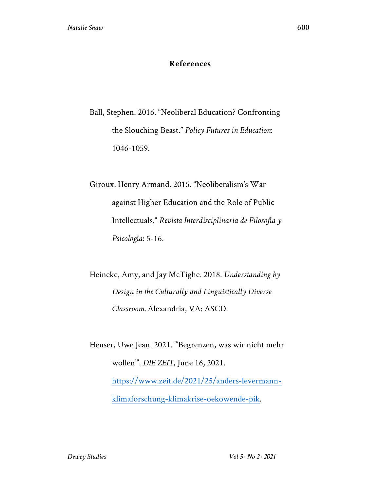## **References**

Ball, Stephen. 2016. "Neoliberal Education? Confronting the Slouching Beast." *Policy Futures in Education*: 1046-1059.

Giroux, Henry Armand. 2015. "Neoliberalism's War against Higher Education and the Role of Public Intellectuals." *Revista Interdisciplinaria de Filosofía y Psicología*: 5-16.

Heineke, Amy, and Jay McTighe. 2018. *Understanding by Design in the Culturally and Linguistically Diverse Classroom.* Alexandria, VA: ASCD.

Heuser, Uwe Jean. 2021. "'Begrenzen, was wir nicht mehr wollen'". *DIE ZEIT*, June 16, 2021. https://www.zeit.de/2021/25/anders-levermannklimaforschung-klimakrise-oekowende-pik.